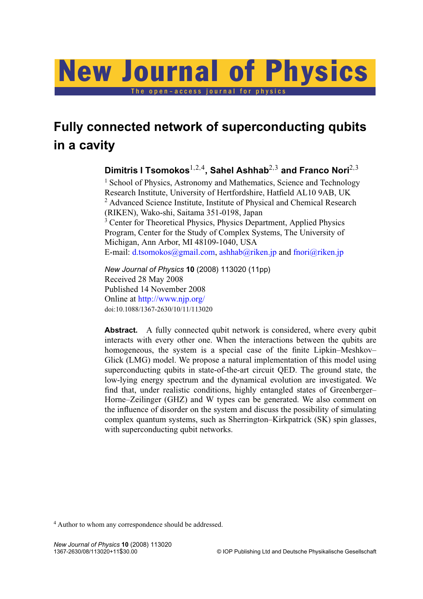# The open-access journal for physics New Journal of Physics

# **Fully connected network of superconducting qubits in a cavity**

**Dimitris I Tsomokos**1,2,<sup>4</sup> **, Sahel Ashhab**2,<sup>3</sup> **and Franco Nori**2,<sup>3</sup>

<sup>1</sup> School of Physics, Astronomy and Mathematics, Science and Technology Research Institute, University of Hertfordshire, Hatfield AL10 9AB, UK <sup>2</sup> Advanced Science Institute, Institute of Physical and Chemical Research (RIKEN), Wako-shi, Saitama 351-0198, Japan <sup>3</sup> Center for Theoretical Physics, Physics Department, Applied Physics Program, Center for the Study of Complex Systems, The University of Michigan, Ann Arbor, MI 48109-1040, USA

E-mail: [d.tsomokos@gmail.com,](mailto:d.tsomokos@gmail.com) [ashhab@riken.jp](mailto:ashhab@riken.jp) and [fnori@riken.jp](mailto:fnori@riken.jp)

*New Journal of Physics* **10** (2008) 113020 (11pp) Received 28 May 2008 Published 14 November 2008 Online at <http://www.njp.org/> doi:10.1088/1367-2630/10/11/113020

Abstract. A fully connected qubit network is considered, where every qubit interacts with every other one. When the interactions between the qubits are homogeneous, the system is a special case of the finite Lipkin–Meshkov– Glick (LMG) model. We propose a natural implementation of this model using superconducting qubits in state-of-the-art circuit QED. The ground state, the low-lying energy spectrum and the dynamical evolution are investigated. We find that, under realistic conditions, highly entangled states of Greenberger– Horne–Zeilinger (GHZ) and W types can be generated. We also comment on the influence of disorder on the system and discuss the possibility of simulating complex quantum systems, such as Sherrington–Kirkpatrick (SK) spin glasses, with superconducting qubit networks.

<sup>4</sup> Author to whom any correspondence should be addressed.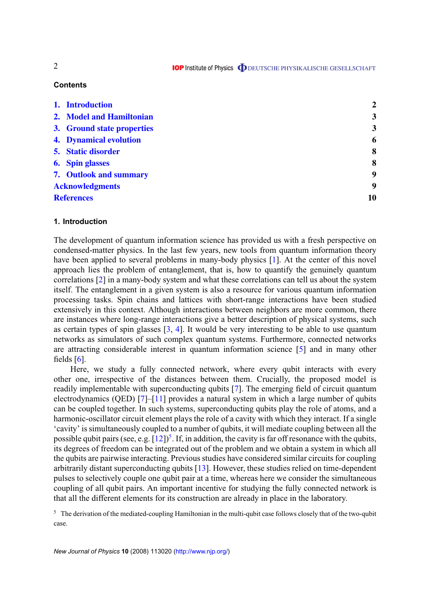**IOP** Institute of Physics **ODEUTSCHE PHYSIKALISCHE GESELLSCHAFT** 

# **Contents**

|                        | 1. Introduction               | $\overline{2}$ |
|------------------------|-------------------------------|----------------|
|                        | 2. Model and Hamiltonian      | 3              |
|                        | 3. Ground state properties    | 3              |
|                        | <b>4. Dynamical evolution</b> | 6              |
|                        | 5. Static disorder            | 8              |
|                        | <b>6.</b> Spin glasses        | 8              |
|                        | 7. Outlook and summary        | 9              |
| <b>Acknowledgments</b> |                               | 9              |
| <b>References</b>      |                               | 10             |

# **1. Introduction**

The development of quantum information science has provided us with a fresh perspective on condensed-matter physics. In the last few years, new tools from quantum information theory have been applied to several problems in many-body physics [\[1\]](#page-9-0). At the center of this novel approach lies the problem of entanglement, that is, how to quantify the genuinely quantum correlations [\[2\]](#page-9-0) in a many-body system and what these correlations can tell us about the system itself. The entanglement in a given system is also a resource for various quantum information processing tasks. Spin chains and lattices with short-range interactions have been studied extensively in this context. Although interactions between neighbors are more common, there are instances where long-range interactions give a better description of physical systems, such as certain types of spin glasses  $[3, 4]$  $[3, 4]$  $[3, 4]$ . It would be very interesting to be able to use quantum networks as simulators of such complex quantum systems. Furthermore, connected networks are attracting considerable interest in quantum information science [\[5\]](#page-9-0) and in many other fields  $[6]$ .

Here, we study a fully connected network, where every qubit interacts with every other one, irrespective of the distances between them. Crucially, the proposed model is readily implementable with superconducting qubits [\[7\]](#page-9-0). The emerging field of circuit quantum electrodynamics (QED) [\[7\]](#page-9-0)–[\[11\]](#page-9-0) provides a natural system in which a large number of qubits can be coupled together. In such systems, superconducting qubits play the role of atoms, and a harmonic-oscillator circuit element plays the role of a cavity with which they interact. If a single 'cavity' is simultaneously coupled to a number of qubits, it will mediate coupling between all the possible qubit pairs (see, e.g.  $[12]$ )<sup>5</sup>. If, in addition, the cavity is far off resonance with the qubits, its degrees of freedom can be integrated out of the problem and we obtain a system in which all the qubits are pairwise interacting. Previous studies have considered similar circuits for coupling arbitrarily distant superconducting qubits [\[13\]](#page-9-0). However, these studies relied on time-dependent pulses to selectively couple one qubit pair at a time, whereas here we consider the simultaneous coupling of all qubit pairs. An important incentive for studying the fully connected network is that all the different elements for its construction are already in place in the laboratory.

<sup>5</sup> The derivation of the mediated-coupling Hamiltonian in the multi-qubit case follows closely that of the two-qubit case.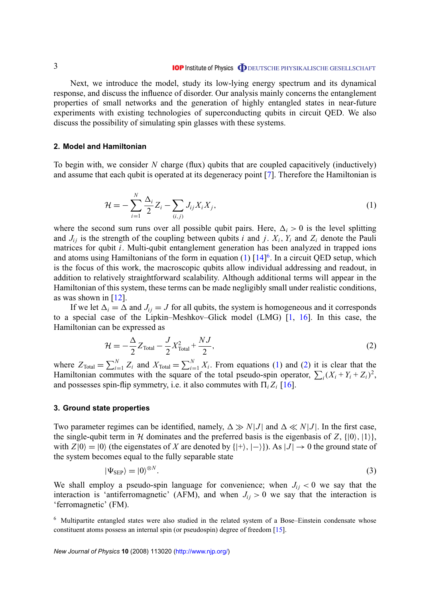<span id="page-2-0"></span>Next, we introduce the model, study its low-lying energy spectrum and its dynamical response, and discuss the influence of disorder. Our analysis mainly concerns the entanglement properties of small networks and the generation of highly entangled states in near-future experiments with existing technologies of superconducting qubits in circuit QED. We also discuss the possibility of simulating spin glasses with these systems.

# **2. Model and Hamiltonian**

To begin with, we consider *N* charge (flux) qubits that are coupled capacitively (inductively) and assume that each qubit is operated at its degeneracy point [\[7\]](#page-9-0). Therefore the Hamiltonian is

$$
\mathcal{H} = -\sum_{i=1}^{N} \frac{\Delta_i}{2} Z_i - \sum_{(i,j)} J_{ij} X_i X_j,
$$
\n(1)

where the second sum runs over all possible qubit pairs. Here,  $\Delta_i > 0$  is the level splitting and  $J_i$  is the strength of the coupling between qubits *i* and *j*.  $X_i$ ,  $Y_i$  and  $Z_i$  denote the Pauli matrices for qubit *i*. Multi-qubit entanglement generation has been analyzed in trapped ions and atoms using Hamiltonians of the form in equation  $(1)$   $[14]$ <sup>6</sup>. In a circuit QED setup, which is the focus of this work, the macroscopic qubits allow individual addressing and readout, in addition to relatively straightforward scalability. Although additional terms will appear in the Hamiltonian of this system, these terms can be made negligibly small under realistic conditions, as was shown in [\[12\]](#page-9-0).

If we let  $\Delta_i = \Delta$  and  $J_i = J$  for all qubits, the system is homogeneous and it corresponds to a special case of the Lipkin–Meshkov–Glick model (LMG) [\[1,](#page-9-0) [16\]](#page-9-0). In this case, the Hamiltonian can be expressed as

$$
\mathcal{H} = -\frac{\Delta}{2} Z_{\text{Total}} - \frac{J}{2} X_{\text{Total}}^2 + \frac{NJ}{2},\tag{2}
$$

where  $Z_{\text{Total}} = \sum_{i=1}^{N} Z_i$  and  $X_{\text{Total}} = \sum_{i=1}^{N} X_i$ . From equations (1) and (2) it is clear that the Hamiltonian commutes with the square of the total pseudo-spin operator,  $\sum_i (X_i + Y_i + Z_i)^2$ , and possesses spin-flip symmetry, i.e. it also commutes with  $\Pi_i Z_i$  [\[16\]](#page-9-0).

## **3. Ground state properties**

Two parameter regimes can be identified, namely,  $\Delta \gg N|J|$  and  $\Delta \ll N|J|$ . In the first case, the single-qubit term in H dominates and the preferred basis is the eigenbasis of  $Z$ ,  $\{|0\rangle, |1\rangle\}$ , with  $Z|0\rangle = |0\rangle$  (the eigenstates of *X* are denoted by  $\{|\!+\rangle, |\!-\rangle\}$ ). As  $|J| \rightarrow 0$  the ground state of the system becomes equal to the fully separable state

$$
|\Psi_{\rm SEP}\rangle = |0\rangle^{\otimes N}.\tag{3}
$$

We shall employ a pseudo-spin language for convenience; when  $J_{ij}$  < 0 we say that the interaction is 'antiferromagnetic' (AFM), and when  $J_{ij} > 0$  we say that the interaction is 'ferromagnetic' (FM).

<sup>6</sup> Multipartite entangled states were also studied in the related system of a Bose–Einstein condensate whose constituent atoms possess an internal spin (or pseudospin) degree of freedom [\[15\]](#page-9-0).

*New Journal of Physics* **10** (2008) 113020 [\(http://www.njp.org/\)](http://www.njp.org/)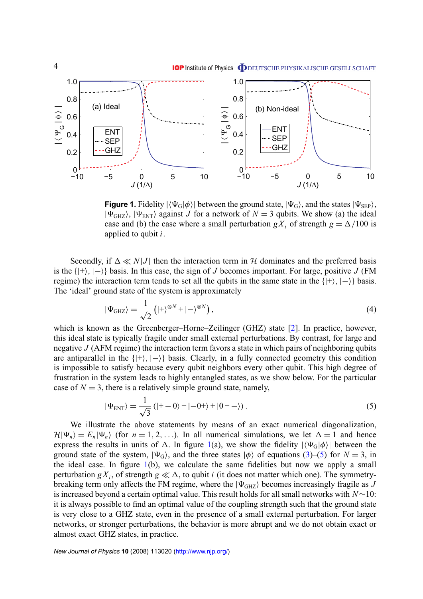<span id="page-3-0"></span>

**Figure 1.** Fidelity  $|\langle \Psi_G | \phi \rangle|$  between the ground state,  $|\Psi_G\rangle$ , and the states  $|\Psi_{\rm SEP}\rangle$ ,  $|\Psi_{GHZ}\rangle$ ,  $|\Psi_{ENT}\rangle$  against *J* for a network of  $N = 3$  qubits. We show (a) the ideal case and (b) the case where a small perturbation  $gX_i$  of strength  $g = \Delta/100$  is applied to qubit *i*.

Secondly, if  $\Delta \ll N|J|$  then the interaction term in H dominates and the preferred basis is the  $\{|+\rangle, |-\rangle$  basis. In this case, the sign of *J* becomes important. For large, positive *J* (FM) regime) the interaction term tends to set all the qubits in the same state in the  $\{|\text{+}\rangle, |-\rangle\}$  basis. The 'ideal' ground state of the system is approximately

$$
|\Psi_{\text{GHZ}}\rangle = \frac{1}{\sqrt{2}} \left( |+\rangle^{\otimes N} + |-\rangle^{\otimes N} \right),\tag{4}
$$

which is known as the Greenberger–Horne–Zeilinger (GHZ) state [\[2\]](#page-9-0). In practice, however, this ideal state is typically fragile under small external perturbations. By contrast, for large and negative *J* (AFM regime) the interaction term favors a state in which pairs of neighboring qubits are antiparallel in the  $\{|\cdot\rangle, |\cdot\rangle\}$  basis. Clearly, in a fully connected geometry this condition is impossible to satisfy because every qubit neighbors every other qubit. This high degree of frustration in the system leads to highly entangled states, as we show below. For the particular case of  $N = 3$ , there is a relatively simple ground state, namely,

$$
|\Psi_{\text{ENT}}\rangle = \frac{1}{\sqrt{3}}\left(|+-0\rangle + |-0+\rangle + |0+-\rangle\right). \tag{5}
$$

We illustrate the above statements by means of an exact numerical diagonalization,  $\mathcal{H}|\Psi_n\rangle = E_n|\Psi_n\rangle$  (for  $n = 1, 2, ...$ ). In all numerical simulations, we let  $\Delta = 1$  and hence express the results in units of  $\Delta$ . In figure 1(a), we show the fidelity  $|\langle \Psi_G | \phi \rangle|$  between the ground state of the system,  $|\Psi_{G}\rangle$ , and the three states  $|\phi\rangle$  of equations [\(3\)](#page-2-0)–(5) for *N* = 3, in the ideal case. In figure  $1(b)$ , we calculate the same fidelities but now we apply a small perturbation  $gX_i$ , of strength  $g \ll \Delta$ , to qubit *i* (it does not matter which one). The symmetrybreaking term only affects the FM regime, where the  $|\Psi_{GHZ}\rangle$  becomes increasingly fragile as *J* is increased beyond a certain optimal value. This result holds for all small networks with *N*∼10: it is always possible to find an optimal value of the coupling strength such that the ground state is very close to a GHZ state, even in the presence of a small external perturbation. For larger networks, or stronger perturbations, the behavior is more abrupt and we do not obtain exact or almost exact GHZ states, in practice.

*New Journal of Physics* **10** (2008) 113020 [\(http://www.njp.org/\)](http://www.njp.org/)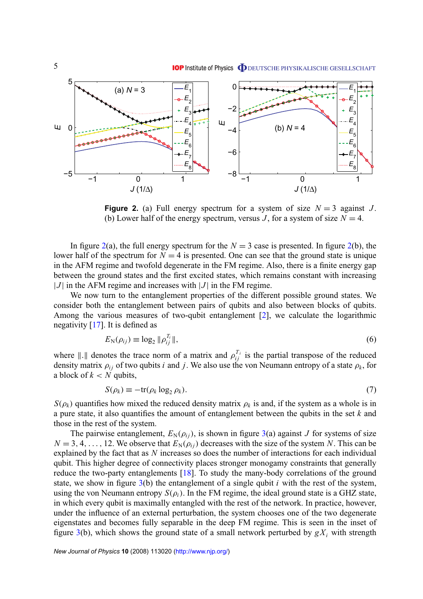

**Figure 2.** (a) Full energy spectrum for a system of size  $N = 3$  against *J*. (b) Lower half of the energy spectrum, versus *J*, for a system of size  $N = 4$ .

In figure  $2(a)$ , the full energy spectrum for the  $N = 3$  case is presented. In figure  $2(b)$ , the lower half of the spectrum for  $N = 4$  is presented. One can see that the ground state is unique in the AFM regime and twofold degenerate in the FM regime. Also, there is a finite energy gap between the ground states and the first excited states, which remains constant with increasing  $|J|$  in the AFM regime and increases with  $|J|$  in the FM regime.

We now turn to the entanglement properties of the different possible ground states. We consider both the entanglement between pairs of qubits and also between blocks of qubits. Among the various measures of two-qubit entanglement [\[2\]](#page-9-0), we calculate the logarithmic negativity [\[17\]](#page-9-0). It is defined as

$$
E_{\rm N}(\rho_{ij}) \equiv \log_2 \|\rho_{ij}^{T_i}\|,\tag{6}
$$

where  $\|\cdot\|$  denotes the trace norm of a matrix and  $\rho_{ij}^{T_i}$  is the partial transpose of the reduced density matrix  $\rho_{ij}$  of two qubits *i* and *j*. We also use the von Neumann entropy of a state  $\rho_k$ , for a block of  $k < N$  qubits,

$$
S(\rho_k) \equiv -\text{tr}(\rho_k \log_2 \rho_k). \tag{7}
$$

 $S(\rho_k)$  quantifies how mixed the reduced density matrix  $\rho_k$  is and, if the system as a whole is in a pure state, it also quantifies the amount of entanglement between the qubits in the set *k* and those in the rest of the system.

The pairwise entanglement,  $E_N(\rho_{ij})$ , is shown in figure [3\(](#page-5-0)a) against *J* for systems of size  $N = 3, 4, \ldots, 12$ . We observe that  $E_N(\rho_{ij})$  decreases with the size of the system *N*. This can be explained by the fact that as *N* increases so does the number of interactions for each individual qubit. This higher degree of connectivity places stronger monogamy constraints that generally reduce the two-party entanglements [\[18\]](#page-9-0). To study the many-body correlations of the ground state, we show in figure [3\(](#page-5-0)b) the entanglement of a single qubit *i* with the rest of the system, using the von Neumann entropy  $S(\rho_i)$ . In the FM regime, the ideal ground state is a GHZ state, in which every qubit is maximally entangled with the rest of the network. In practice, however, under the influence of an external perturbation, the system chooses one of the two degenerate eigenstates and becomes fully separable in the deep FM regime. This is seen in the inset of figure [3\(](#page-5-0)b), which shows the ground state of a small network perturbed by  $gX_i$  with strength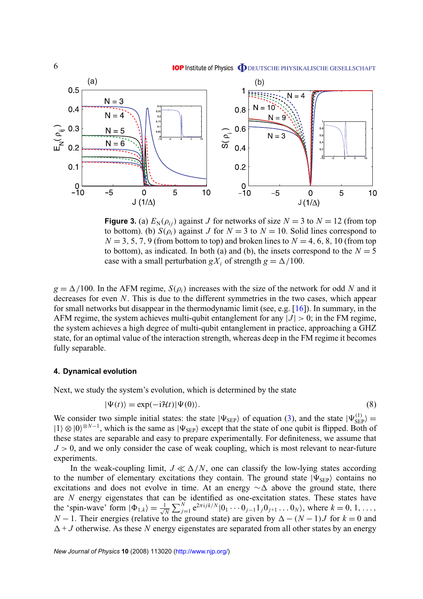<span id="page-5-0"></span>

**Figure 3.** (a)  $E_N(\rho_{ij})$  against *J* for networks of size  $N = 3$  to  $N = 12$  (from top to bottom). (b)  $S(\rho_i)$  against *J* for  $N = 3$  to  $N = 10$ . Solid lines correspond to  $N = 3, 5, 7, 9$  (from bottom to top) and broken lines to  $N = 4, 6, 8, 10$  (from top to bottom), as indicated. In both (a) and (b), the insets correspond to the  $N = 5$ case with a small perturbation *gX<sub>i</sub>* of strength  $g = \Delta/100$ .

 $g = \Delta/100$ . In the AFM regime,  $S(\rho_i)$  increases with the size of the network for odd *N* and it decreases for even *N*. This is due to the different symmetries in the two cases, which appear for small networks but disappear in the thermodynamic limit (see, e.g. [\[16\]](#page-9-0)). In summary, in the AFM regime, the system achieves multi-qubit entanglement for any  $|J| > 0$ ; in the FM regime, the system achieves a high degree of multi-qubit entanglement in practice, approaching a GHZ state, for an optimal value of the interaction strength, whereas deep in the FM regime it becomes fully separable.

#### **4. Dynamical evolution**

Next, we study the system's evolution, which is determined by the state

$$
|\Psi(t)\rangle = \exp(-i\mathcal{H}t)|\Psi(0)\rangle.
$$
 (8)

We consider two simple initial states: the state  $|\Psi_{\text{SEP}}\rangle$  of equation [\(3\)](#page-2-0), and the state  $|\Psi_{\text{SEP}}^{(1)}\rangle =$  $|1\rangle \otimes |0\rangle^{\otimes N-1}$ , which is the same as  $|\Psi_{\text{SEP}}\rangle$  except that the state of one qubit is flipped. Both of these states are separable and easy to prepare experimentally. For definiteness, we assume that  $J > 0$ , and we only consider the case of weak coupling, which is most relevant to near-future experiments.

In the weak-coupling limit,  $J \ll \Delta/N$ , one can classify the low-lying states according to the number of elementary excitations they contain. The ground state  $|\Psi_{\text{SEP}}\rangle$  contains no excitations and does not evolve in time. At an energy  $\sim\!\Delta$  above the ground state, there are *N* energy eigenstates that can be identified as one-excitation states. These states have the 'spin-wave' form  $|\Phi_{1,k}\rangle = \frac{1}{\sqrt{k}}$  $\frac{1}{N} \sum_{j=1}^{N} e^{2\pi i j k/N} |0_1 \cdots 0_{j-1} 1_j 0_{j+1} \ldots 0_N\rangle$ , where  $k = 0, 1, \ldots$ , *N* − 1. Their energies (relative to the ground state) are given by  $\Delta - (N - 1)J$  for  $k = 0$  and  $\Delta + J$  otherwise. As these *N* energy eigenstates are separated from all other states by an energy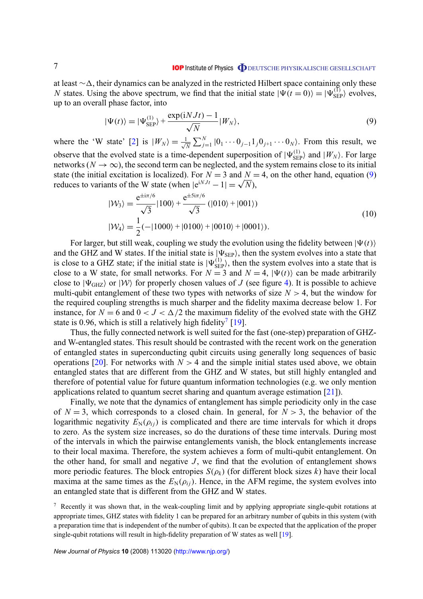<span id="page-6-0"></span>at least ∼∆, their dynamics can be analyzed in the restricted Hilbert space containing only these *N* states. Using the above spectrum, we find that the initial state  $|\Psi(t=0)\rangle = |\Psi_{\text{SEP}}^{(1)}\rangle$  evolves, up to an overall phase factor, into

$$
|\Psi(t)\rangle = |\Psi_{\text{SEP}}^{(1)}\rangle + \frac{\exp(iNJt) - 1}{\sqrt{N}} |W_N\rangle, \tag{9}
$$

where the 'W state' [\[2\]](#page-9-0) is  $|W_N\rangle = \frac{1}{\sqrt{2}}$  $\frac{1}{N} \sum_{j=1}^{N} |0_1 \cdots 0_{j-1} 1_j 0_{j+1} \cdots 0_N\rangle$ . From this result, we observe that the evolved state is a time-dependent superposition of  $|\Psi_{\text{SEP}}^{(1)}\rangle$  and  $|W_N\rangle$ . For large networks ( $N \to \infty$ ), the second term can be neglected, and the system remains close to its initial state (the initial excitation is localized). For  $N = 3$  and  $N = 4$ , on the other hand, equation (9) state (the initial excitation is localized). For  $N = 3$  and  $N = 1$  reduces to variants of the W state (when  $|e^{iNJt} - 1| = \sqrt{N}$ ),

$$
|W_3\rangle = \frac{e^{\pm i\pi/6}}{\sqrt{3}}|100\rangle + \frac{e^{\pm 5i\pi/6}}{\sqrt{3}}(|010\rangle + |001\rangle)
$$
  

$$
|W_4\rangle = \frac{1}{2}(-|1000\rangle + |0100\rangle + |0010\rangle + |0001\rangle).
$$
 (10)

For larger, but still weak, coupling we study the evolution using the fidelity between  $|\Psi(t)\rangle$ and the GHZ and W states. If the initial state is  $|\Psi_{\text{SEP}}\rangle$ , then the system evolves into a state that is close to a GHZ state; if the initial state is  $|\Psi_{\rm SEP}^{(1)}\rangle$ , then the system evolves into a state that is close to a W state, for small networks. For  $N = 3$  and  $N = 4$ ,  $|\Psi(t)\rangle$  can be made arbitrarily close to  $|\Psi_{GHZ}\rangle$  or  $|W\rangle$  for properly chosen values of *J* (see figure [4\)](#page-7-0). It is possible to achieve multi-qubit entanglement of these two types with networks of size  $N > 4$ , but the window for the required coupling strengths is much sharper and the fidelity maxima decrease below 1. For instance, for  $N = 6$  and  $0 < J < \Delta/2$  the maximum fidelity of the evolved state with the GHZ state is 0.96, which is still a relatively high fidelity<sup>7</sup> [\[19\]](#page-9-0).

Thus, the fully connected network is well suited for the fast (one-step) preparation of GHZand W-entangled states. This result should be contrasted with the recent work on the generation of entangled states in superconducting qubit circuits using generally long sequences of basic operations [\[20\]](#page-9-0). For networks with  $N > 4$  and the simple initial states used above, we obtain entangled states that are different from the GHZ and W states, but still highly entangled and therefore of potential value for future quantum information technologies (e.g. we only mention applications related to quantum secret sharing and quantum average estimation [\[21\]](#page-10-0)).

Finally, we note that the dynamics of entanglement has simple periodicity only in the case of  $N = 3$ , which corresponds to a closed chain. In general, for  $N > 3$ , the behavior of the logarithmic negativity  $E_N(\rho_{ij})$  is complicated and there are time intervals for which it drops to zero. As the system size increases, so do the durations of these time intervals. During most of the intervals in which the pairwise entanglements vanish, the block entanglements increase to their local maxima. Therefore, the system achieves a form of multi-qubit entanglement. On the other hand, for small and negative  $J$ , we find that the evolution of entanglement shows more periodic features. The block entropies  $S(\rho_k)$  (for different block sizes *k*) have their local maxima at the same times as the  $E_N(\rho_{ij})$ . Hence, in the AFM regime, the system evolves into an entangled state that is different from the GHZ and W states.

<sup>7</sup> Recently it was shown that, in the weak-coupling limit and by applying appropriate single-qubit rotations at appropriate times, GHZ states with fidelity 1 can be prepared for an arbitrary number of qubits in this system (with a preparation time that is independent of the number of qubits). It can be expected that the application of the proper single-qubit rotations will result in high-fidelity preparation of W states as well [\[19\]](#page-9-0).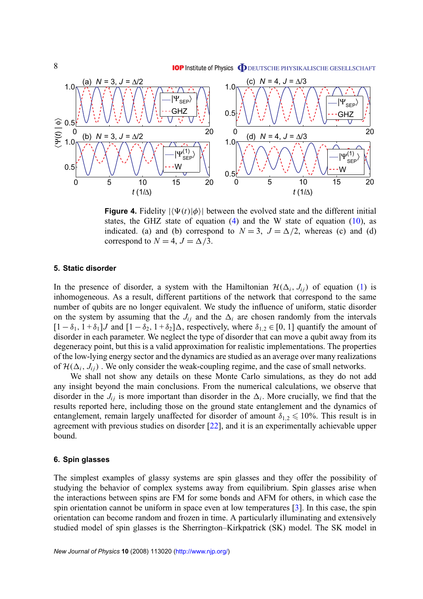**IOP** Institute of Physics **ODEUTSCHE PHYSIKALISCHE GESELLSCHAFT** 

<span id="page-7-0"></span>

**Figure 4.** Fidelity  $|\langle \Psi(t) | \phi \rangle|$  between the evolved state and the different initial states, the GHZ state of equation  $(4)$  and the W state of equation  $(10)$ , as indicated. (a) and (b) correspond to  $N = 3$ ,  $J = \Delta/2$ , whereas (c) and (d) correspond to  $N = 4$ ,  $J = \Delta/3$ .

# **5. Static disorder**

In the presence of disorder, a system with the Hamiltonian  $\mathcal{H}(\Delta_i, J_{ij})$  of equation [\(1\)](#page-2-0) is inhomogeneous. As a result, different partitions of the network that correspond to the same number of qubits are no longer equivalent. We study the influence of uniform, static disorder on the system by assuming that the  $J_{ij}$  and the  $\Delta_i$  are chosen randomly from the intervals  $[1 - \delta_1, 1 + \delta_1]$ *J* and  $[1 - \delta_2, 1 + \delta_2]$  $\Delta$ , respectively, where  $\delta_{1,2} \in [0, 1]$  quantify the amount of disorder in each parameter. We neglect the type of disorder that can move a qubit away from its degeneracy point, but this is a valid approximation for realistic implementations. The properties of the low-lying energy sector and the dynamics are studied as an average over many realizations of  $\mathcal{H}(\Delta_i, J_{ij})$ . We only consider the weak-coupling regime, and the case of small networks.

We shall not show any details on these Monte Carlo simulations, as they do not add any insight beyond the main conclusions. From the numerical calculations, we observe that disorder in the  $J_{ij}$  is more important than disorder in the  $\Delta_i$ . More crucially, we find that the results reported here, including those on the ground state entanglement and the dynamics of entanglement, remain largely unaffected for disorder of amount  $\delta_{1,2} \leq 10\%$ . This result is in agreement with previous studies on disorder [\[22\]](#page-10-0), and it is an experimentally achievable upper bound.

#### **6. Spin glasses**

The simplest examples of glassy systems are spin glasses and they offer the possibility of studying the behavior of complex systems away from equilibrium. Spin glasses arise when the interactions between spins are FM for some bonds and AFM for others, in which case the spin orientation cannot be uniform in space even at low temperatures [\[3\]](#page-9-0). In this case, the spin orientation can become random and frozen in time. A particularly illuminating and extensively studied model of spin glasses is the Sherrington–Kirkpatrick (SK) model. The SK model in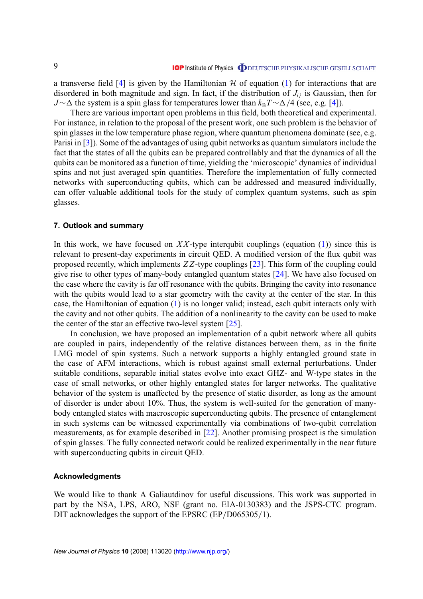<span id="page-8-0"></span>a transverse field [\[4\]](#page-9-0) is given by the Hamiltonian  $H$  of equation [\(1\)](#page-2-0) for interactions that are disordered in both magnitude and sign. In fact, if the distribution of  $J_{ij}$  is Gaussian, then for *J*∼∆ the system is a spin glass for temperatures lower than  $k_B T \sim \Delta/4$  (see, e.g. [\[4\]](#page-9-0)).

There are various important open problems in this field, both theoretical and experimental. For instance, in relation to the proposal of the present work, one such problem is the behavior of spin glasses in the low temperature phase region, where quantum phenomena dominate (see, e.g. Parisi in [\[3\]](#page-9-0)). Some of the advantages of using qubit networks as quantum simulators include the fact that the states of all the qubits can be prepared controllably and that the dynamics of all the qubits can be monitored as a function of time, yielding the 'microscopic' dynamics of individual spins and not just averaged spin quantities. Therefore the implementation of fully connected networks with superconducting qubits, which can be addressed and measured individually, can offer valuable additional tools for the study of complex quantum systems, such as spin glasses.

#### **7. Outlook and summary**

In this work, we have focused on  $XX$ -type interqubit couplings (equation  $(1)$ ) since this is relevant to present-day experiments in circuit QED. A modified version of the flux qubit was proposed recently, which implements *Z Z*-type couplings [\[23\]](#page-10-0). This form of the coupling could give rise to other types of many-body entangled quantum states [\[24\]](#page-10-0). We have also focused on the case where the cavity is far off resonance with the qubits. Bringing the cavity into resonance with the qubits would lead to a star geometry with the cavity at the center of the star. In this case, the Hamiltonian of equation [\(1\)](#page-2-0) is no longer valid; instead, each qubit interacts only with the cavity and not other qubits. The addition of a nonlinearity to the cavity can be used to make the center of the star an effective two-level system [\[25\]](#page-10-0).

In conclusion, we have proposed an implementation of a qubit network where all qubits are coupled in pairs, independently of the relative distances between them, as in the finite LMG model of spin systems. Such a network supports a highly entangled ground state in the case of AFM interactions, which is robust against small external perturbations. Under suitable conditions, separable initial states evolve into exact GHZ- and W-type states in the case of small networks, or other highly entangled states for larger networks. The qualitative behavior of the system is unaffected by the presence of static disorder, as long as the amount of disorder is under about 10%. Thus, the system is well-suited for the generation of manybody entangled states with macroscopic superconducting qubits. The presence of entanglement in such systems can be witnessed experimentally via combinations of two-qubit correlation measurements, as for example described in [\[22\]](#page-10-0). Another promising prospect is the simulation of spin glasses. The fully connected network could be realized experimentally in the near future with superconducting qubits in circuit QED.

#### **Acknowledgments**

We would like to thank A Galiautdinov for useful discussions. This work was supported in part by the NSA, LPS, ARO, NSF (grant no. EIA-0130383) and the JSPS-CTC program. DIT acknowledges the support of the EPSRC (EP/D065305/1).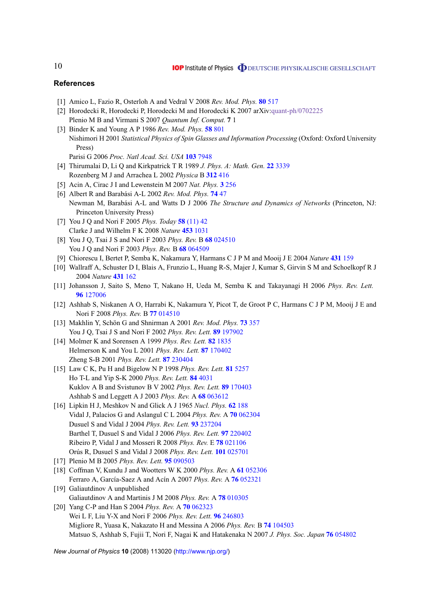#### **References**

- [1] Amico L, Fazio R, Osterloh A and Vedral V 2008 *Rev. Mod. Phys.* **80** [517](http://dx.doi.org/10.1103/RevModPhys.80.517)
- [2] Horodecki R, Horodecki P, Horodecki M and Horodecki K 2007 arXiv[:quant-ph/0702225](http://arxiv.org/abs/quant-ph/0702225) Plenio M B and Virmani S 2007 *Quantum Inf. Comput.* **7** 1
- [3] Binder K and Young A P 1986 *Rev. Mod. Phys.* **58** [801](http://dx.doi.org/10.1103/RevModPhys.58.801) Nishimori H 2001 *Statistical Physics of Spin Glasses and Information Processing* (Oxford: Oxford University Press)
	- Parisi G 2006 *Proc. Natl Acad. Sci. USA* **103** [7948](http://dx.doi.org/10.1073/pnas.0601120103)
- [4] Thirumalai D, Li Q and Kirkpatrick T R 1989 *J. Phys. A: Math. Gen.* **22** [3339](http://dx.doi.org/10.1088/0305-4470/22/16/023) Rozenberg M J and Arrachea L 2002 *Physica* B **[312](http://dx.doi.org/10.1016/S0921-4526(01)01553-8)** 416
- [5] Acin A, Cirac J I and Lewenstein M 2007 *Nat. Phys.* **3** [256](http://dx.doi.org/10.1038/nphys549)
- [6] Albert R and Barabási A-L 2002 *Rev. Mod. Phys.* **[74](http://dx.doi.org/10.1103/RevModPhys.74.47)** 47 Newman M, Barabási A-L and Watts D J 2006 *The Structure and Dynamics of Networks* (Princeton, NJ: Princeton University Press)
- [7] You J Q and Nori F 2005 *Phys. Today* **58** [\(11\) 42](http://dx.doi.org/10.1063/1.2155757) Clarke J and Wilhelm F K 2008 *Nature* **453** [1031](http://dx.doi.org/10.1038/nature07128)
- [8] You J Q, Tsai J S and Nori F 2003 *Phys. Rev.* B **68** [024510](http://dx.doi.org/10.1103/PhysRevB.68.024510) You J Q and Nori F 2003 *Phys. Rev.* B **68** [064509](http://dx.doi.org/10.1103/PhysRevB.68.064509)
- [9] Chiorescu I, Bertet P, Semba K, Nakamura Y, Harmans C J P M and Mooij J E 2004 *Nature* **431** [159](http://dx.doi.org/10.1038/nature02831)
- [10] Wallraff A, Schuster D I, Blais A, Frunzio L, Huang R-S, Majer J, Kumar S, Girvin S M and Schoelkopf R J 2004 *Nature* **[431](http://dx.doi.org/10.1038/nature02851)** 162
- [11] Johansson J, Saito S, Meno T, Nakano H, Ueda M, Semba K and Takayanagi H 2006 *Phys. Rev. Lett.* **96** [127006](http://dx.doi.org/10.1103/PhysRevLett.96.127006)
- [12] Ashhab S, Niskanen A O, Harrabi K, Nakamura Y, Picot T, de Groot P C, Harmans C J P M, Mooij J E and Nori F 2008 *Phys. Rev.* B **77** [014510](http://dx.doi.org/10.1103/PhysRevB.77.014510)
- [13] Makhlin Y, Schön G and Shnirman A 2001 *Rev. Mod. Phys.* **73** [357](http://dx.doi.org/10.1103/RevModPhys.73.357) You J Q, Tsai J S and Nori F 2002 *Phys. Rev. Lett.* **89** [197902](http://dx.doi.org/10.1103/PhysRevLett.89.197902)
- [14] Molmer K and Sorensen A 1999 *Phys. Rev. Lett.* **82** [1835](http://dx.doi.org/10.1103/PhysRevLett.82.1835) Helmerson K and You L 2001 *Phys. Rev. Lett.* **87** [170402](http://dx.doi.org/10.1103/PhysRevLett.87.170402) Zheng S-B 2001 *Phys. Rev. Lett.* **87** [230404](http://dx.doi.org/10.1103/PhysRevLett.87.230404)
- [15] Law C K, Pu H and Bigelow N P 1998 *Phys. Rev. Lett.* **81** [5257](http://dx.doi.org/10.1103/PhysRevLett.81.5257) Ho T-L and Yip S-K 2000 *Phys. Rev. Lett.* **84** [4031](http://dx.doi.org/10.1103/PhysRevLett.84.4031) Kuklov A B and Svistunov B V 2002 *Phys. Rev. Lett.* **89** [170403](http://dx.doi.org/10.1103/PhysRevLett.89.170403) Ashhab S and Leggett A J 2003 *Phys. Rev.* A **68** [063612](http://dx.doi.org/10.1103/PhysRevA.68.063612)
- [16] Lipkin H J, Meshkov N and Glick A J 1965 *Nucl. Phys.* **62** [188](http://dx.doi.org/10.1016/0029-5582(65)90862-X) Vidal J, Palacios G and Aslangul C L 2004 *Phys. Rev.* A **70** [062304](http://dx.doi.org/10.1103/PhysRevA.70.062304) Dusuel S and Vidal J 2004 *Phys. Rev. Lett.* **93** [237204](http://dx.doi.org/10.1103/PhysRevLett.93.237204) Barthel T, Dusuel S and Vidal J 2006 *Phys. Rev. Lett.* **97** [220402](http://dx.doi.org/10.1103/PhysRevLett.97.220402) Ribeiro P, Vidal J and Mosseri R 2008 *Phys. Rev.* E **78** [021106](http://dx.doi.org/10.1103/PhysRevE.78.021106) Orús R, Dusuel S and Vidal J 2008 *Phys. Rev. Lett.* **101** [025701](http://dx.doi.org/10.1103/PhysRevLett.101.025701)
- [17] Plenio M B 2005 *Phys. Rev. Lett.* **95** [090503](http://dx.doi.org/10.1103/PhysRevLett.95.090503)
- [18] Coffman V, Kundu J and Wootters W K 2000 *Phys. Rev.* A **61** [052306](http://dx.doi.org/10.1103/PhysRevA.61.052306) Ferraro A, García-Saez A and Acín A 2007 *Phys. Rev.* A **76** [052321](http://dx.doi.org/10.1103/PhysRevA.76.052321)
- [19] Galiautdinov A unpublished Galiautdinov A and Martinis J M 2008 *Phys. Rev.* A **78** [010305](http://dx.doi.org/10.1103/PhysRevA.78.010305)
- [20] Yang C-P and Han S 2004 *Phys. Rev.* A **70** [062323](http://dx.doi.org/10.1103/PhysRevA.70.062323) Wei L F, Liu Y-X and Nori F 2006 *Phys. Rev. Lett.* **96** [246803](http://dx.doi.org/10.1103/PhysRevLett.96.246803) Migliore R, Yuasa K, Nakazato H and Messina A 2006 *Phys. Rev.* B **74** [104503](http://dx.doi.org/10.1103/PhysRevB.74.104503) Matsuo S, Ashhab S, Fujii T, Nori F, Nagai K and Hatakenaka N 2007 *J. Phys. Soc. Japan* **76** [054802](http://dx.doi.org/10.1143/JPSJ.76.054802)

*New Journal of Physics* **10** (2008) 113020 [\(http://www.njp.org/\)](http://www.njp.org/)

<span id="page-9-0"></span>10